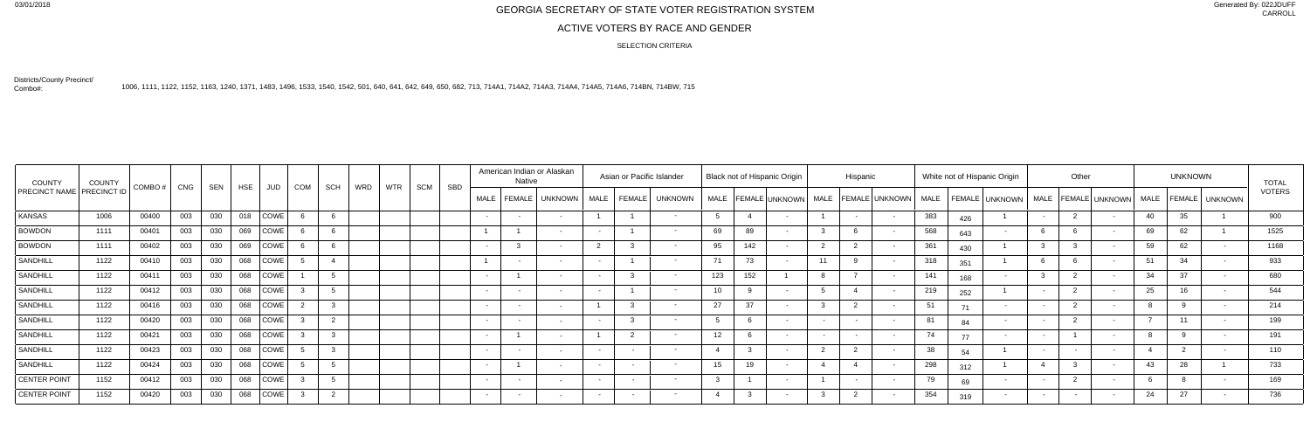## 03/01/2018<br>GEORGIA SECRETARY OF STATE VOTER REGISTRATION SYSTEM

## ACTIVE VOTERS BY RACE AND GENDER

Generated By: 022JDUFF CARROLL

Districts/County Precinct/Combo#:

1006, 1111, 1122, 1152, 1163, 1240, 1371, 1483, 1496, 1533, 1540, 1542, 501, 640, 641, 642, 649, 650, 682, 713, 714A1, 714A2, 714A3, 714A4, 714A5, 714A6, 714BN, 714BW, 715

SELECTION CRITERIA

| <b>COUNTY</b>                    | COUNTY | COMBO #   CNG |     | SEN | <b>HSE</b> | JUD         | COM | SCH          | WRD | <b>WTR</b> | SCM | <b>SBD</b> |                   | Native | American Indian or Alaskan |        | Asian or Pacific Islander |                 |          | <b>Black not of Hispanic Origin</b> |        | Hispanic |                                                   |             |     | White not of Hispanic Origin           |        | Other |             | <b>UNKNOWN</b> |                | <b>TOTAL</b>  |
|----------------------------------|--------|---------------|-----|-----|------------|-------------|-----|--------------|-----|------------|-----|------------|-------------------|--------|----------------------------|--------|---------------------------|-----------------|----------|-------------------------------------|--------|----------|---------------------------------------------------|-------------|-----|----------------------------------------|--------|-------|-------------|----------------|----------------|---------------|
| <b>PRECINCT NAME PRECINCT ID</b> |        |               |     |     |            |             |     |              |     |            |     |            | <b>MALE</b>       | FEMALE | UNKNOWN                    |        | MALE   FEMALE   UNKNOWN   |                 |          |                                     |        |          | MALE   FEMALE   UNKNOWN   MALE   FEMALE   UNKNOWN | <b>MALE</b> |     | FEMALE UNKNOWN   MALE   FEMALE UNKNOWN |        |       | <b>MALE</b> |                | FEMALE UNKNOWN | <b>VOTERS</b> |
| KANSAS                           | 1006   | 00400         | 003 | 030 | 018        | <b>COWE</b> |     |              |     |            |     |            | $\sim$ 100 $\sim$ | $\sim$ |                            |        | $\sim$                    |                 |          |                                     |        |          |                                                   | 383         | 426 |                                        | $\sim$ |       | 40          | 35             |                | 900           |
| <b>BOWDON</b>                    | 1111   | 00401         | 003 | 030 | 069        | <b>COWE</b> |     |              |     |            |     |            | $\overline{1}$    |        |                            |        | $\sim$ $\sim$             | 69              | 89       |                                     |        |          |                                                   | 568         | 643 |                                        |        |       | 69          | 62             |                | 1525          |
| <b>BOWDON</b>                    | 1111   | 00402         | 003 | 030 | 069        | COWE        |     |              |     |            |     |            |                   |        |                            |        |                           | 95              | 142      |                                     |        |          |                                                   | 361         | 430 |                                        |        |       | 59          | 62             |                | 1168          |
| <b>SANDHILL</b>                  | 1122   | 00410         | 003 | 030 | 068        | <b>COWE</b> |     |              |     |            |     |            | $\overline{1}$    | $\sim$ |                            |        | $\sim$                    | 71              | 73       |                                     | 11     |          |                                                   | 318         | 351 |                                        |        |       | 51          | 34             |                | 933           |
| <b>SANDHILL</b>                  | 1122   | 00411         | 003 | 030 | 068        | COWE        |     | $\mathbf{r}$ |     |            |     |            | $\sim$            |        |                            |        | $\sim$                    | 123             | 152      |                                     |        |          |                                                   | 141         | 168 |                                        | $\sim$ |       | 34          | 37             | $\sim$         | 680           |
| <b>SANDHILL</b>                  | 1122   | 00412         | 003 | 030 | 068        | <b>COWE</b> |     |              |     |            |     |            | $\sim$ $-$        | $\sim$ |                            |        |                           | $10^{-1}$       | $\Omega$ |                                     |        |          |                                                   | 219         | 252 |                                        | $\sim$ |       | 25          | 1 <sup>C</sup> |                | 544           |
| SANDHILL                         | 1122   | 00416         | 003 | 030 | 068        | <b>COWE</b> |     |              |     |            |     |            | $\sim$ 100 $\sim$ | $\sim$ |                            |        | $\sim$ $-$                | 27              | 37       |                                     |        |          |                                                   | 51          | 71  |                                        | $\sim$ |       |             |                |                | 214           |
| <b>SANDHILL</b>                  | 1122   | 00420         | 003 | 030 | 068        | COWE        |     | ົາ           |     |            |     |            |                   |        |                            |        | $\sim$                    |                 |          |                                     |        |          |                                                   | 81          | 84  |                                        |        |       |             |                |                | 199           |
| <b>SANDHILL</b>                  | 1122   | 00421         | 003 | 030 | 068        | <b>COWE</b> |     | 3            |     |            |     |            | $\sim$            |        |                            | $\sim$ | $\sim$                    | 12 <sup>7</sup> |          |                                     |        |          |                                                   | 74          | 77  |                                        |        |       |             |                |                | 191           |
| <b>SANDHILL</b>                  | 1122   | 00423         | 003 | 030 | 068        | COWE        |     | $\sim$       |     |            |     |            |                   |        |                            |        | $\sim$                    |                 | 3        |                                     | $\sim$ |          |                                                   | 38          | 54  |                                        |        |       |             |                |                | 110           |
| <b>SANDHILL</b>                  | 1122   | 00424         | 003 | 030 | 068        | <b>COWE</b> |     |              |     |            |     |            |                   |        |                            |        | $\sim$                    | 15 <sup>1</sup> | 19       |                                     |        |          |                                                   | 298         | 312 |                                        |        |       | 43          | 28             |                | 733           |
| CENTER POINT                     | 1152   | 00412         | 003 | 030 | 068        | <b>COWE</b> |     |              |     |            |     |            | $\sim$            | $\sim$ |                            |        | $\sim$                    |                 |          |                                     |        |          |                                                   | 79          | 69  |                                        | $\sim$ |       |             |                |                | 169           |
| CENTER POINT                     | 1152   | 00420         | 003 | 030 | 068        | COWE        |     | ົດ           |     |            |     |            |                   |        |                            |        | $\sim$                    |                 | $\sim$   |                                     |        |          |                                                   | 354         | 319 |                                        | $\sim$ |       | 24          | - 27           |                | 736           |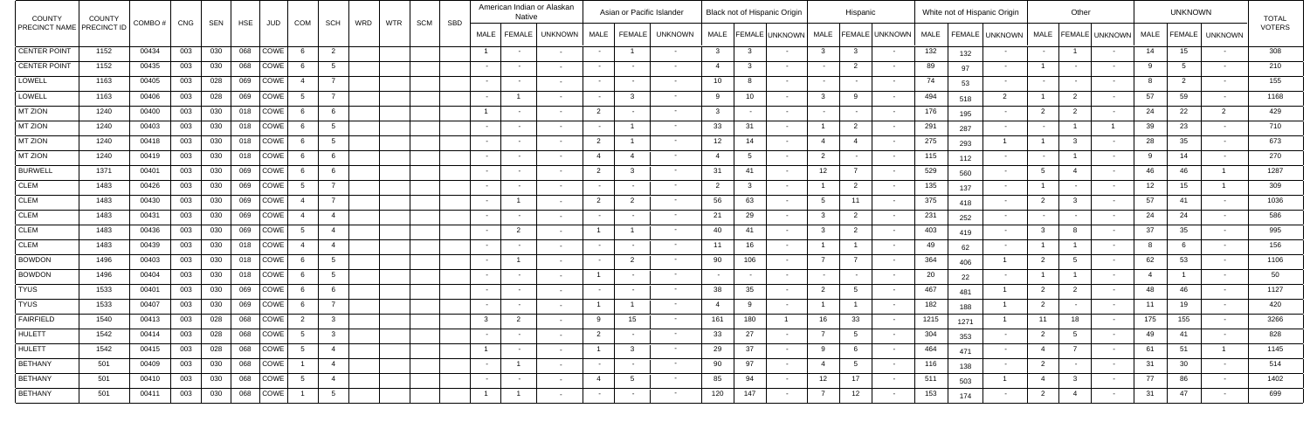| COUNTY                             | <b>COUNTY</b> | COMBO #   CNG |       | SEN | HSE | JUD                    | COM            |                         | SCH                        | WRD | <b>WTR</b><br>SCM | SBD |                  | Native         | American Indian or Alaskan |                          |                | Asian or Pacific Islander |                 |              | <b>Black not of Hispanic Origin</b> |                | Hispanic        |                          |             |      | White not of Hispanic Origin |                | Other          |                |      | <b>UNKNOWN</b> |                  | <b>TOTAL</b>  |
|------------------------------------|---------------|---------------|-------|-----|-----|------------------------|----------------|-------------------------|----------------------------|-----|-------------------|-----|------------------|----------------|----------------------------|--------------------------|----------------|---------------------------|-----------------|--------------|-------------------------------------|----------------|-----------------|--------------------------|-------------|------|------------------------------|----------------|----------------|----------------|------|----------------|------------------|---------------|
| <b>PRECINCT NAME   PRECINCT ID</b> |               |               |       |     |     |                        |                |                         |                            |     |                   |     | <b>MALE</b>      | FEMALE         | <b>UNKNOWN</b>             |                          | MALE   FEMALE  | <b>UNKNOWN</b>            |                 |              | MALE   FEMALE UNKNOWN               |                |                 | MALE   FEMALE   UNKNOWN  | <b>MALE</b> |      | FEMALE UNKNOWN   MALE        |                |                | FEMALE UNKNOWN | MALE |                | FEMALE   UNKNOWN | <b>VOTERS</b> |
| CENTER POINT                       | 1152          | 00434         | 003   | 030 | 068 | COWE                   |                |                         | $\overline{\phantom{0}}^2$ |     |                   |     | $\overline{1}$   | $\sim$ $ \sim$ |                            |                          | $\overline{1}$ | $\sim$                    | $\mathbf{3}$    | $\mathbf{3}$ |                                     | 3              | $\mathbf{3}$    |                          | 132         | 132  |                              | $\sim$         |                |                | 14   | 15             | $\sim$ $ \sim$   | 308           |
| CENTER POINT                       | 1152          | 00435         | 003   | 030 | 068 | COWE                   |                |                         | $5^{\circ}$                |     |                   |     | $\sim 100$       | $\sim$         |                            |                          |                | $\sim$                    | $\overline{4}$  | $\mathbf{3}$ |                                     |                | $\overline{2}$  |                          | 89          | 97   |                              |                |                |                | -9   |                | $\sim$ $ \sim$   | 210           |
| LOWELL                             | 1163          | 00405         | 003   | 028 | 069 | COWE                   |                |                         |                            |     |                   |     | $\sim 100$       | $\sim$         |                            |                          |                | $\sim$ $-$                | 10 <sup>1</sup> | 8            |                                     |                |                 |                          | 74          | 53   |                              | $\sim$         |                |                |      |                | $\sim$           | 155           |
| LOWELL                             | 1163          | 00406         | 003   | 028 | 069 | COWE                   |                | $\overline{7}$          |                            |     |                   |     | $\sim$           |                |                            |                          |                | $\sim$                    | 9               | 10           |                                     | ્વ             |                 |                          | 494         | 518  | $\overline{2}$               |                |                |                | 57   | 59             | $\sim$ $-$       | 1168          |
| MT ZION                            | 1240          | 00400         | 003   | 030 | 018 | <b>COWE</b>            |                |                         | - 6                        |     |                   |     | $\overline{1}$   | $\sim$         |                            | $\overline{2}$           |                | $\sim$                    | $\mathbf{3}$    |              |                                     |                | $\sim$          |                          | 176         | 195  |                              | $\overline{2}$ |                |                | 24   | 22             | $\overline{2}$   | 429           |
| MT ZION                            | 1240          | 00403         | 003   | 030 | 018 | COWE                   |                |                         | $5^{\circ}$                |     |                   |     | $\sim 100$       | $\sim$         |                            | $\overline{\phantom{0}}$ |                | $\sim$                    | 33              | 31           |                                     |                | $\overline{2}$  |                          | 291         | 287  |                              | $\sim$         |                |                | 39   | 23             | $\sim$           | 710           |
| MT ZION                            | 1240          | 00418         | 003   | 030 | 018 | COWE                   |                |                         | - 5                        |     |                   |     | $\sim 100$       | $\sim$         |                            | $\overline{2}$           |                | $\sim$                    | 12              | 14           |                                     | -4             |                 |                          | 275         | 293  |                              |                |                |                | 28   | 35             | $\sim$           | 673           |
| MT ZION                            | 1240          | 00419         | 003   | 030 | 018 | COWE                   |                |                         | - 6                        |     |                   |     | $\sim$ 100 $\pm$ | $\sim$         |                            |                          |                | $\sim$                    |                 | -5           |                                     | $\overline{2}$ |                 |                          | 115         | 112  |                              |                |                |                | -9   | 14             | $\sim$           | 270           |
| <b>BURWELL</b>                     | 1371          | 00401         | 003   | 030 | 069 | COWE                   |                |                         | - 6                        |     |                   |     | $\sim 100$       | $\sim$         |                            | $\overline{2}$           |                | $\sim$                    | 31              | 41           |                                     | 12             |                 |                          | 529         | 560  |                              | .5             | $\overline{4}$ |                | 46   | 46             |                  | 1287          |
| <b>CLEM</b>                        | 1483          | 00426         | 003   | 030 | 069 | COWE                   | -5             |                         | $\overline{7}$             |     |                   |     | $\sim$ $ \sim$   | $\sim$         |                            | $\sim$                   |                | $\sim$                    | $\overline{2}$  | $\mathbf{3}$ |                                     |                | $\overline{2}$  |                          | 135         | 137  |                              |                |                |                | 12   | 15             |                  | 309           |
| <b>CLEM</b>                        | 1483          | 00430         | 003   | 030 | 069 | COWE                   | $\overline{4}$ |                         |                            |     |                   |     | $\sim 100$       |                |                            | $\overline{2}$           | $\overline{2}$ | $\sim$                    | 56              | 63           |                                     | - 5            | 11              |                          | 375         | 418  |                              | 2              |                |                | 57   | 41             | $\sim$           | 1036          |
| <b>CLEM</b>                        | 1483          | 00431         | 003   | 030 | 069 | COWE                   | 4              |                         | $\overline{4}$             |     |                   |     | $\sim$ $-$       | $\sim$         |                            |                          |                | $\sim$                    | 21              | 29           |                                     | $\mathcal{A}$  | $\overline{2}$  |                          | 231         | 252  |                              | $\sim$         |                |                | 24   | 24             | $\sim$           | 586           |
| <b>CLEM</b>                        | 1483          | 00436         | 003   | 030 | 069 | COWE                   | -5             |                         | $\overline{4}$             |     |                   |     | $\sim$ $-$       | $\overline{2}$ |                            |                          |                | $\sim$                    | 40              | 41           |                                     | -3             | $\overline{2}$  |                          | 403         | 419  |                              | 3              |                |                | 37   | 35             | $\sim$           | 995           |
| <b>CLEM</b>                        | 1483          | 00439         | 003   | 030 | 018 | COWE                   | $\overline{4}$ |                         | $\overline{4}$             |     |                   |     | $\sim$ $-$       | $\sim$         |                            | $\sim$                   |                | $\sim$ $-$                | 11              | 16           |                                     |                |                 |                          | 49          | 62   |                              |                |                |                | 8    |                | $\sim$           | 156           |
| <b>BOWDON</b>                      | 1496          | 00403         | 003   | 030 | 018 | <b>COWE</b>            |                |                         | - 5                        |     |                   |     | $\sim$ $ \sim$   |                |                            | $\sim$                   | $\overline{2}$ | $\sim$                    | 90              | 106          |                                     |                |                 |                          | 364         | 406  |                              | $\overline{2}$ |                |                | 62   | 53             | $\sim$ 100 $\mu$ | 1106          |
| <b>BOWDON</b>                      | 1496          | 00404         | 003   | 030 | 018 | COWE                   |                |                         | 5                          |     |                   |     | $\sim$ $-$       | $\sim$         |                            |                          |                | $\sim$                    |                 |              |                                     |                |                 |                          | 20          | 22   |                              |                |                |                | -4   |                | $\sim$           | 50            |
| TYUS                               | 1533          | 00401         | 003   | 030 | 069 | COWE                   |                |                         | - 6                        |     |                   |     | $\sim 100$       | $\sim$         |                            | $\sim$                   |                | $\sim$                    | 38              | 35           |                                     | $\overline{2}$ |                 |                          | 467         | 481  |                              | 2              |                |                | 48   | 46             | $\sim$           | 1127          |
| TYUS                               | 1533          | 00407         | 003   | 030 | 069 | COWE                   | - 6            | $\overline{7}$          |                            |     |                   |     | $\sim 100$       | $\sim$         |                            |                          |                | $\sim$                    | -4              | -9           |                                     |                |                 |                          | 182         | 188  |                              | $\overline{2}$ |                |                | 11   | 19             | $\sim$           | 420           |
| <b>FAIRFIELD</b>                   | 1540          | 00413         | $003$ |     |     | 028   068   COWE   2   |                | $\overline{\mathbf{3}}$ |                            |     |                   |     |                  |                | $\sim$                     |                          | 15             | <b>Contract Contract</b>  | 161             | 180          |                                     | 16             | 33              |                          | 1215        | 1271 |                              | 11             | 18             |                | 175  | 155            | $\sim 100$       | 3266          |
| <b>HULETT</b>                      | 1542          | 00414         | 003   |     |     | $028$   068   COWE   5 |                | $\sqrt{3}$              |                            |     |                   |     | $\sim 100$       | $\sim 100$     | $\sim$                     | $\overline{2}$           | $\sim$ $-$     | <b>Contract</b>           | 33              | 27           |                                     | $\overline{7}$ | $5\overline{)}$ | $\sim 100$ m $^{-1}$     | 304         | 353  |                              | $\overline{2}$ |                |                | 49   | 41             | $\sim$ $-$       | 828           |
| HULETT                             | 1542          | 00415         | 003   |     |     | 028   068   COWE   5   |                |                         | $\overline{4}$             |     |                   |     | $\overline{1}$   | $\sim$ $ \sim$ | $\sim$                     |                          |                | $\sim 100$                | 29              | 37           |                                     | 9              | 6               | $\sim$ $-$               | 464         | 471  | $\sim$                       | 4              |                |                | 61   | 51             | $\overline{1}$   | 1145          |
| BETHANY                            | 501           | 00409         | 003   |     |     | 030   068   COWE   1   |                |                         | $\overline{4}$             |     |                   |     | $\sim 100$       | $\overline{1}$ | $\sim$                     | $\sim 100$               | $\sim$         | $\sim 100$                | 90              | 97           |                                     | $\overline{4}$ | 5 <sup>5</sup>  | $\sim$                   | 116         | 138  | $\sim$                       | $\overline{2}$ |                |                | 31   | 30             | $\sim$ $-$       | 514           |
| BETHANY                            | 501           | 00410         | 003   | 030 |     | 068 COWE 5             |                |                         | $\overline{4}$             |     |                   |     | $\sim 100$       | $\sim$ $-$     | $\sim$                     | $\overline{4}$           | 5 <sup>5</sup> | $\sim 100$                | 85              | 94           |                                     | 12             | 17              | <b>Contract Contract</b> | 511         | 503  |                              | 4              | $\mathbf{3}$   | $\sim$         | 77   | 86             | $\sim$ $ \sim$   | 1402          |
| BETHANY                            | 501           | 00411         | 003   | 030 |     | 068 COWE               |                |                         | 5 <sub>5</sub>             |     |                   |     | $\overline{1}$   | $\overline{1}$ | $\sim$                     | $\sim$ $-$               | $\sim$         | $\sim$ 100 $\pm$          | 120             | 147          |                                     | $\overline{7}$ | 12              |                          | 153         | 174  |                              | $\overline{2}$ | 4              | $\sim$         | 31   | 47             | $\sim$ $ \sim$   | 699           |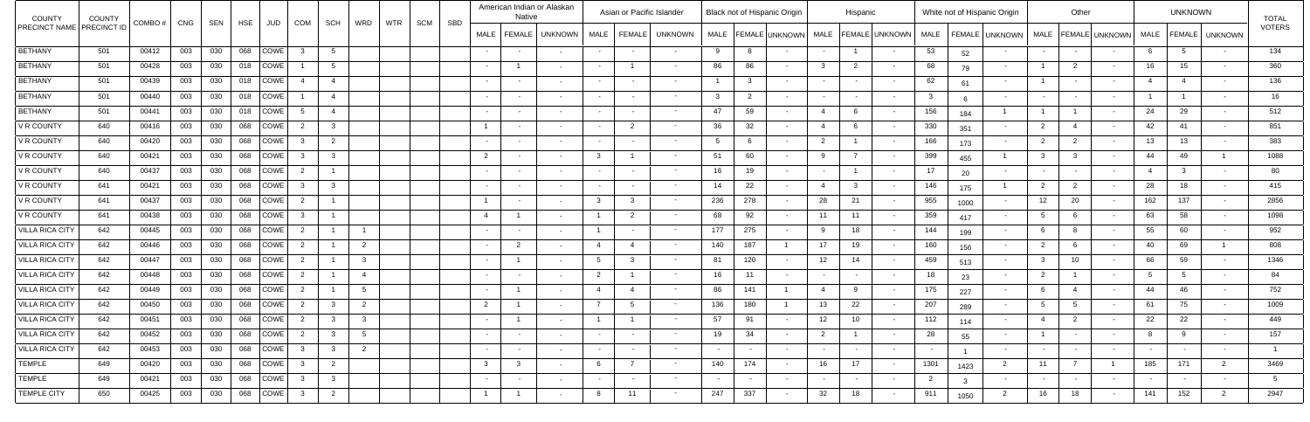| <b>COUNTY</b>                    | COUNTY | COMBO# | CNG | SEN | HSE | JUD               | COM                      | <b>SCH</b>              | WRD             | <b>WTR</b> | SCM<br>SBD |                | <b>Native</b>  | American Indian or Alaskan |                | Asian or Pacific Islander |                   |                 |                | Black not of Hispanic Origin |                          | Hispanic        |                         |                |               | White not of Hispanic Origin |                | Other          |                |                 | <b>UNKNOWN</b>   |                  | <b>TOTAL</b>  |
|----------------------------------|--------|--------|-----|-----|-----|-------------------|--------------------------|-------------------------|-----------------|------------|------------|----------------|----------------|----------------------------|----------------|---------------------------|-------------------|-----------------|----------------|------------------------------|--------------------------|-----------------|-------------------------|----------------|---------------|------------------------------|----------------|----------------|----------------|-----------------|------------------|------------------|---------------|
| <b>PRECINCT NAME PRECINCT ID</b> |        |        |     |     |     |                   |                          |                         |                 |            |            | <b>MALE</b>    | FEMALE         | UNKNOWN                    |                | MALE   FEMALE             | <b>UNKNOWN</b>    |                 |                | MALE   FEMALE   UNKNOWN      |                          |                 | MALE   FEMALE   UNKNOWN | <b>MALE</b>    |               | FEMALE UNKNOWN   MALE        |                |                | FEMALE UNKNOWN | <b>MALE</b>     |                  | FEMALE   UNKNOWN | <b>VOTERS</b> |
| <b>BETHANY</b>                   | 501    | 00412  | 003 | 030 | 068 | COWE              | ູ                        | 5                       |                 |            |            | $\sim$         | $\sim$ $-$     |                            | $\sim$         |                           | $\sim$            | 9               | -8             |                              |                          |                 |                         | 53             | 52            |                              | $\sim$         |                |                | -6              | -5               | $\sim$ $-$       | 134           |
| <b>BETHANY</b>                   | 501    | 00428  | 003 | 030 | 018 | COWE              |                          | 5                       |                 |            |            | $\sim$ $-$     |                |                            | $\sim$         |                           | $\sim$            | 86              | 86             |                              | -3                       | $\overline{2}$  |                         | 68             | 79            |                              |                | $\overline{2}$ |                | 16 <sup>1</sup> | 15 <sub>1</sub>  | $\sim$           | 360           |
| <b>BETHANY</b>                   | 501    | 00439  | 003 | 030 | 018 | <b>COWE</b>       |                          | $\overline{4}$          |                 |            |            | $\sim$ $-$     | $\sim$         |                            | $\sim$         |                           | $\sim$            |                 | $\mathcal{B}$  |                              |                          |                 |                         | 62             | 61            | $\sim$                       |                |                |                | $\overline{4}$  |                  | $\sim$           | 136           |
| <b>BETHANY</b>                   | 501    | 00440  | 003 | 030 | 018 | COWE              |                          | $\overline{4}$          |                 |            |            | $\sim$         | $\sim$         |                            | $\sim$         |                           | $\sim$            | $\cdot$ 3       | $\overline{2}$ |                              |                          |                 |                         | $\mathbf{3}$   |               |                              | $\sim$         |                |                |                 |                  | $\sim$           | 16            |
| <b>BETHANY</b>                   | 501    | 00441  | 003 | 030 | 018 | COWE              | - 5                      | $\overline{4}$          |                 |            |            | $\sim$ $-$     | $\sim$ $-$     |                            | $\sim$         |                           | $\sim$            | 47              | 59             |                              | -4                       |                 |                         | 156            | 184           |                              |                |                |                | 24              | 29               | $\sim$ 100 $\mu$ | 512           |
| V R COUNTY                       | 640    | 00416  | 003 | 030 | 068 |                   | COWE  <br>$\overline{2}$ | $\overline{\mathbf{3}}$ |                 |            |            | $\overline{1}$ | $\sim$         |                            |                | $\overline{2}$            | $\sim$            | 36              | 32             |                              | $\overline{4}$           |                 |                         | 330            | 351           |                              | $\overline{2}$ | 4              |                | 42              | -41              | $\sim$ $-$       | 851           |
| <b>V R COUNTY</b>                | 640    | 00420  | 003 | 030 | 068 | COWE              |                          | $\overline{2}$          |                 |            |            | $\sim$         | $\sim$         |                            | $\sim$         |                           | $\sim$ 100 $\sim$ | -5              | -6             |                              | $\overline{2}$           |                 |                         | 166            | 173           |                              | $\overline{2}$ |                |                | 13 <sup>7</sup> | 13               | $\sim$           | 383           |
| V R COUNTY                       | 640    | 00421  | 003 | 030 | 068 | COWE              |                          | - 3                     |                 |            |            | $\overline{2}$ | $\sim$         |                            |                |                           | $\sim$ 100 $\sim$ | 51              | 60             |                              | $\alpha$                 | $\overline{z}$  |                         | 399            | 455           |                              |                |                |                | 44              | 49               |                  | 1088          |
| V R COUNTY                       | 640    | 00437  | 003 | 030 | 068 | COWE              | $\overline{2}$           |                         |                 |            |            | $\sim$ $ \sim$ | $\sim$         |                            | $\sim$         | $\sim$                    | $\sim$            | 16              | 19             |                              | $\overline{\phantom{a}}$ |                 |                         | 17             | 20            |                              | $\sim$         |                |                | -4              | ູ                | $\sim$           | 80            |
| V R COUNTY                       | 641    | 00421  | 003 | 030 | 068 | COWE <sup>1</sup> | ્વ                       | $\overline{\mathbf{3}}$ |                 |            |            | $\sim$ $ \sim$ | $\sim$         |                            | $\sim$         |                           | $\sim$ 100 $\sim$ | 14              | 22             |                              | -4                       | -3              |                         | 146            | 175           |                              | $\overline{2}$ |                |                | 28              | 18               | $\sim$           | 415           |
| <b>V R COUNTY</b>                | 641    | 00437  | 003 | 030 | 068 | COWE <sup>1</sup> | $\overline{2}$           |                         |                 |            |            | $\overline{1}$ | $\sim$         |                            | - 3            |                           | $\sim$            | 236             | 278            |                              | 28                       | 21              |                         | 955            | 1000          |                              | 12             | 20             |                | 162             | 137              | $\sim$           | 2856          |
| <b>V R COUNTY</b>                | 641    | 00438  | 003 | 030 | 068 | COWE              |                          |                         |                 |            |            | $\overline{4}$ |                |                            |                | 2                         | $\sim$            | 68              | 92             |                              | 11                       | 11              |                         | 359            | 417           |                              | -5             |                |                | 63              | 58               | $\sim$           | 1098          |
| <b>VILLA RICA CITY</b>           | 642    | 00445  | 003 | 030 | 068 | COWE              | $\overline{2}$           |                         |                 |            |            | $\sim$         | $\sim$         |                            |                |                           | $\sim$ 100 $\sim$ | 177             | 275            |                              | -9                       | 18              |                         | 144            | 199           | $\sim$                       |                |                |                | 55              | 60               | $\sim$           | 952           |
| <b>VILLA RICA CITY</b>           | 642    | 00446  | 003 | 030 | 068 | COWE              | $\overline{2}$           |                         | $\overline{2}$  |            |            | $\sim$ $-$     | $\overline{2}$ |                            | $\overline{4}$ |                           | $\sim$ 100 $\sim$ | 140             | 187            |                              | 17                       | 19              |                         | 160            | 156           | $\sim$                       | $\overline{2}$ |                |                | 40              | 69               |                  | 808           |
| <b>VILLA RICA CITY</b>           | 642    | 00447  | 003 | 030 | 068 | COWE              | $\overline{2}$           |                         | 3 <sup>1</sup>  |            |            | $\sim$         |                |                            | 5              |                           | $\sim$            | 81              | 120            |                              | 12                       | 14              |                         | 459            | 513           |                              |                | 10             |                | 66              | 59               | $\sim$           | 1346          |
| <b>VILLA RICA CITY</b>           | 642    | 00448  | 003 | 030 | 068 | COWE              | $\overline{2}$           |                         | $\overline{4}$  |            |            | $\sim$ $-$     | $\sim$         |                            | $\overline{2}$ |                           | $\sim$            | 16              | 11             |                              |                          |                 |                         | 18             | 23            |                              | 2              |                |                | -5              |                  | $\sim$           | 84            |
| <b>VILLA RICA CITY</b>           | 642    | 00449  | 003 | 030 | 068 | COWE              | $\overline{2}$           |                         | $5\overline{)}$ |            |            | $\sim$         |                |                            |                |                           | $\sim$            | 86              | 141            |                              | $\overline{4}$           |                 |                         | 175            | 227           |                              |                |                |                | 44              | 46               | $\sim$           | 752           |
| <b>VILLA RICA CITY</b>           | 642    | 00450  | 003 | 030 | 068 | COWE              | $\overline{2}$           |                         | $\overline{2}$  |            |            | $\overline{2}$ |                |                            | $\overline{z}$ |                           | $\sim$            | 136             | 180            |                              | 13                       | 22              |                         | 207            | 289           |                              | -5             |                |                | 61              | 75               | $\sim$           | 1009          |
| VILLA RICA CITY                  | 642    | 00451  | 003 | 030 |     |                   |                          | $\overline{\mathbf{3}}$ | $\mathbf{3}$    |            |            | $\sim$         |                |                            |                |                           | <b>Contract</b>   | 57              | 91             |                              | 12                       | 10 <sub>1</sub> | $\sim 100$ m $^{-1}$    | 112            | 114           |                              | $\overline{4}$ |                |                | 22              | 22               | $\sim$ $ \sim$   | 449           |
| <b>VILLA RICA CITY</b>           | 642    | 00452  | 003 | 030 |     |                   | 068   COWE   2           | $\overline{\mathbf{3}}$ | $5\overline{)}$ |            |            | $\sim$ $-$     | $\sim$ $-$     | $\sim$                     | $\sim 100$     | $\sim$                    | <b>Contract</b>   | 19              | 34             | $\sim$                       | $\overline{2}$           | $\overline{1}$  | $\sim$ $-$              | 28             | 55            | $\sim$                       | $\overline{1}$ | $\sim$         | $\sim$         | 8               | - 9              | $\sim$ $-$       | 157           |
| <b>VILLA RICA CITY</b>           | 642    | 00453  | 003 | 030 |     |                   |                          | $\overline{\mathbf{3}}$ | $\overline{2}$  |            |            | $\sim$ $ \sim$ | $\sim$ $-$     | $\sim$                     | $\sim$ $-$     | $\sim$                    | <b>Service</b>    | $\sim 10^{-11}$ | $\sim$ $ \sim$ | $\sim$                       | $\sim$ $-$               | $\sim 100$      | $\sim$ 100 $\mu$        | $\sim$ $ \sim$ |               | $\sim$                       | $\sim$ $-$     |                | $\sim$ $\sim$  | $\sim$          | $\sim$           | $\sim$ $ \sim$   |               |
| TEMPLE                           | 649    | 00420  | 003 | 030 |     |                   | 068   COWE   3           | $\overline{2}$          |                 |            |            | $\mathbf{3}$   | 3 <sup>5</sup> |                            | 6              | $\overline{7}$            | <b>Contract</b>   | 140             | 174            |                              | 16                       | 17              | $\sim$ $-$              | 1301           | 1423          | $\overline{2}$               | 11             |                |                | 185             | 171              | $\overline{2}$   | 3469          |
| <b>TEMPLE</b>                    | 649    | 00421  | 003 | 030 |     |                   | 068 COWE 3               | $\overline{\mathbf{3}}$ |                 |            |            | $\sim 100$     | $\sim$ $-$     | $\sim$                     | $\sim$ $ \sim$ | $\sim$ $-$                | $\sim$ 100 $\mu$  | $\sim 100$      | $\sim$         | $\sim$ $ \sim$               | $\sim$                   | $\sim 100$      | $\sim$ 100 $\mu$        | $\overline{2}$ | $\mathcal{R}$ | $\sim$                       | $\sim$ $-$     | $\sim$ $ \sim$ | $\sim$         | $\sim$          | $\sim$ 100 $\mu$ | $\sim$ $ \sim$   | 5             |
| TEMPLE CITY                      | 650    | 00425  | 003 | 030 | 068 |                   | $\vert$ COWE $\vert$ 3   | $\overline{\mathbf{2}}$ |                 |            |            | $\overline{1}$ |                | $\sim$                     | 8              | 11                        | $\sim$ $-$        | 247             | 337            |                              | 32                       | 18              | $\sim$ 100 $\sim$       | 911            | 1050          | $\overline{2}$               | 16             | 18             | $\sim$         | 141             | 152              | $\overline{2}$   | 2947          |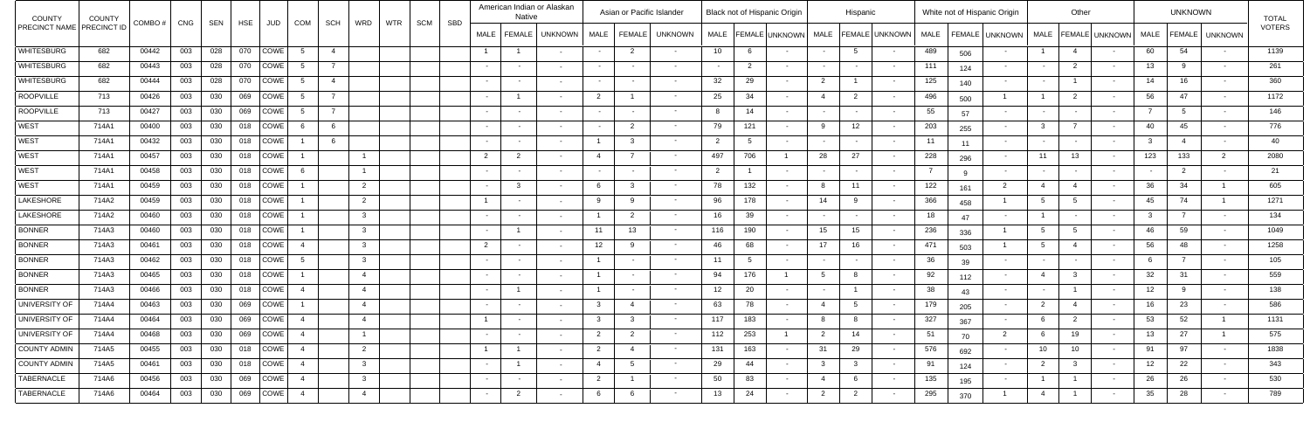| <b>COUNTY</b>             | <b>COUNTY</b> | COMBO# | CNG | SEN | <b>HSE</b> |                      | COM            | <b>SCH</b>     | WRD            | <b>WTR</b> | SCM<br>SBD |                | <b>Native</b>           | American Indian or Alaskan |                | Asian or Pacific Islander |                   |                |                | Black not of Hispanic Origin |                          | Hispanic       |                       |                |     | White not of Hispanic Origin |                        | Other           |                |             | <b>UNKNOWN</b> |                  | <b>TOTAL</b>  |
|---------------------------|---------------|--------|-----|-----|------------|----------------------|----------------|----------------|----------------|------------|------------|----------------|-------------------------|----------------------------|----------------|---------------------------|-------------------|----------------|----------------|------------------------------|--------------------------|----------------|-----------------------|----------------|-----|------------------------------|------------------------|-----------------|----------------|-------------|----------------|------------------|---------------|
| PRECINCT NAME PRECINCT ID |               |        |     |     |            | JUD                  |                |                |                |            |            | <b>MALE</b>    | FEMALE                  | UNKNOWN                    |                | MALE   FEMALE             | <b>UNKNOWN</b>    |                |                | MALE   FEMALE   UNKNOWN      | <b>MALE</b>              |                | <b>FEMALE</b> UNKNOWN | <b>MALE</b>    |     | FEMALE UNKNOWN               | <b>MALE</b>            |                 | FEMALE UNKNOWN | <b>MALE</b> |                | FEMALE   UNKNOWN | <b>VOTERS</b> |
| WHITESBURG                | 682           | 00442  | 003 | 028 | 070        | $\vert$ COWE $\vert$ | $\sqrt{5}$     | $\overline{4}$ |                |            |            | $\overline{1}$ |                         |                            | $\sim$         | $\overline{2}$            | $\sim$            | 10             | 6              |                              |                          |                |                       | 489            | 506 |                              |                        |                 |                | 60          | 54             | $\sim$           | 1139          |
| <b>WHITESBURG</b>         | 682           | 00443  | 003 | 028 | 070        | COWE                 | $-5$           |                |                |            |            | $\sim$ $-$     | $\sim$                  |                            | $\sim$         |                           | $\sim$ $-$        |                | $\overline{2}$ |                              | $\overline{\phantom{a}}$ | $\sim$         | $\sim$                | 111            | 124 |                              | $\sim$                 |                 |                | 13          |                | $\sim$ $ \sim$   | 261           |
| <b>WHITESBURG</b>         | 682           | 00444  | 003 | 028 | 070        | COWE                 | -5             | $\overline{4}$ |                |            |            | $\sim$ $-$     | $\sim$                  |                            | $\sim$         |                           | $\sim$            | 32             | 29             |                              | $\overline{2}$           |                |                       | 125            | 140 |                              | $\sim$                 |                 |                | 14          | 16             |                  | 360           |
| ROOPVILLE                 | 713           | 00426  | 003 | 030 | 069        | COWE                 | -5             |                |                |            |            |                |                         |                            | 2              |                           |                   | 25             | 34             |                              |                          | $\overline{2}$ |                       | 496            | 500 |                              |                        |                 |                | 56          | 47             | $\sim$           | 1172          |
| ROOPVILLE                 | 713           | 00427  | 003 | 030 | 069        | COWE                 | -5             |                |                |            |            | $\sim$ $-$     | $\sim$                  |                            | $\sim$         |                           | $\sim$            |                | 14             |                              |                          | $\sim$         |                       | 55             | 57  |                              | $\sim$                 |                 |                |             |                | $\sim$           | 146           |
| <b>WEST</b>               | 714A1         | 00400  | 003 | 030 | 018        | COWE                 | - 6            | - 6            |                |            |            | $\sim$         | $\sim$                  |                            | $\sim$         | $\mathcal{D}$             | $\sim$            | 79             | 121            |                              | $\alpha$                 | 12             |                       | 203            | 255 |                              |                        |                 |                | 40          | 45             | $\sim$ $-$       | 776           |
| <b>WEST</b>               | 714A1         | 00432  | 003 | 030 | 018        | COWE                 |                | - 6            |                |            |            | $\sim 100$     | $\sim$                  |                            |                |                           |                   | $\overline{2}$ | -5             |                              |                          | $\sim$         | $\sim$                | 11             | 11  |                              | $\sim$                 |                 |                |             |                | $\sim$           | 40            |
| <b>WEST</b>               | 714A1         | 00457  | 003 | 030 | 018        | COWE                 |                |                |                |            |            | $\overline{2}$ | 2                       |                            |                |                           | $\sim$            | 497            | 706            |                              | 28                       | 27             |                       | 228            | 296 |                              | 11                     | 13              |                | 123         | 133            | 2                | 2080          |
| <b>WEST</b>               | 714A1         | 00458  | 003 | 030 | 018        | COWE                 | -6             |                | $\overline{1}$ |            |            | $\sim$         | $\sim$                  |                            |                |                           |                   | $\overline{2}$ |                |                              |                          |                |                       | $\overline{7}$ |     |                              |                        |                 |                |             | $\overline{2}$ | $\sim$           | 21            |
| <b>WEST</b>               | 714A1         | 00459  | 003 | 030 | 018        | COWE                 |                |                | $\overline{2}$ |            |            | $\sim$         | $\overline{\mathbf{3}}$ |                            | 6              |                           | $\sim$            | 78             | 132            |                              |                          | 11             |                       | 122            | 161 | $\overline{2}$               | $\overline{4}$         |                 |                | 36          | 34             |                  | 605           |
| LAKESHORE                 | 714A2         | 00459  | 003 | 030 | 018        | <b>COWE</b>          |                |                | $\overline{2}$ |            |            | $\overline{1}$ | $\sim$                  |                            | -9             |                           |                   | 96             | 178            |                              | 14                       |                |                       | 366            | 458 |                              |                        |                 |                | 45          | 74             |                  | 1271          |
| LAKESHORE                 | 714A2         | 00460  | 003 | 030 | 018        | COWE                 |                |                | 3 <sup>1</sup> |            |            | $\sim$         | $\sim$                  |                            |                |                           | $\sim$            | 16             | 39             |                              |                          | $\sim$         |                       | 18             | 47  |                              |                        |                 |                |             |                | $\sim$           | 134           |
| <b>BONNER</b>             | 714A3         | 00460  | 003 | 030 | 018        | COWE                 |                |                | 3 <sup>1</sup> |            |            | $\sim$ $-$     |                         |                            |                | 13                        | $\sim$ $\sim$     | 116            | 190            |                              | 15                       | 15             |                       | 236            | 336 |                              | $5^{\circ}$            |                 |                | 46          | 59             | $\sim$           | 1049          |
| <b>BONNER</b>             | 714A3         | 00461  | 003 | 030 | 018        | COWE                 | $\overline{A}$ |                | 3 <sup>3</sup> |            |            | $\overline{2}$ | $\sim$                  |                            | 12             |                           | $\sim$            | 46             | 68             |                              | 17                       | 16             |                       | 471            | 503 |                              | -5                     |                 |                | 56          | 48             | $\sim$           | 1258          |
| <b>BONNER</b>             | 714A3         | 00462  | 003 | 030 | 018        | COWE <sup>1</sup>    | - 5            |                | 3 <sup>3</sup> |            |            | $\sim$ $-$     | $\sim$                  |                            |                |                           | $\sim$            | 11             | 5              |                              |                          |                |                       | 36             | 39  |                              | $\sim$                 |                 |                |             |                | $\sim$           | 105           |
| <b>BONNER</b>             | 714A3         | 00465  | 003 | 030 | 018        | COWE                 |                |                | $\overline{4}$ |            |            | $\sim$         | $\sim$                  |                            |                |                           | $\sim$            | 94             | 176            |                              |                          |                |                       | 92             | 112 |                              | $\boldsymbol{\Lambda}$ |                 |                | 32          | -31            | $\sim$           | 559           |
| <b>BONNER</b>             | 714A3         | 00466  | 003 | 030 | 018        | COWE <sup>1</sup>    | $\overline{4}$ |                | $\overline{4}$ |            |            | $\sim$         |                         |                            |                |                           | $\sim$ $\sim$     | 12             | 20             |                              | $\overline{\phantom{a}}$ |                |                       | 38             | 43  |                              | $\sim$                 |                 |                | 12          |                | $\sim$           | 138           |
| UNIVERSITY OF             | 714A4         | 00463  | 003 | 030 | 069        | COWE                 |                |                | $\overline{4}$ |            |            | $\sim$ $ \sim$ | $\sim$                  |                            |                |                           | $\sim$            | 63             | 78             |                              | -4                       |                |                       | 179            | 205 |                              | $\overline{2}$         |                 |                | 16          | 23             | $\sim$           | 586           |
| UNIVERSITY OF             | 714A4         | 00464  | 003 | 030 |            | 069 COWE 4           |                |                | $\overline{4}$ |            |            |                | $\sim$                  |                            |                |                           | $\sim$ 100 $\mu$  | 117            | 183            |                              | - 8                      |                |                       | 327            | 367 |                              |                        |                 |                | 53          | 52             |                  | 1131          |
| UNIVERSITY OF             | 714A4         | 00468  | 003 | 030 |            | 069 COWE 4           |                |                | $\overline{1}$ |            |            | $\sim$ $-$     | $\sim$ $-$              | $\sim$                     | $\overline{2}$ | $\overline{2}$            | $\sim$ $-$        | 112            | 253            |                              | $\overline{2}$           | 14             | $\sim$ 100 $\mu$      | 51             | 70  | $\overline{\phantom{0}}^2$   | 6                      | 19              |                | 13          | 27             |                  | 575           |
| COUNTY ADMIN              | 714A5         | 00455  | 003 | 030 |            |                      | 018 COWE 4     |                | $\overline{2}$ |            |            | $\overline{1}$ |                         | $\sim$                     | $\overline{2}$ |                           | $\sim$ 100 $\sim$ | 131            | 163            |                              | 31                       | 29             | $\sim$ 100 $\mu$      | 576            | 692 | $\sim$                       | 10 <sup>1</sup>        | 10 <sup>°</sup> |                | 91          | 97             | $\sim 10^{-11}$  | 1838          |
| COUNTY ADMIN              | 714A5         | 00461  | 003 | 030 |            |                      | 018 COWE 4     |                | 3 <sup>3</sup> |            |            | $\sim$ $ \sim$ |                         | $\sim$                     | 4              | 5                         | $\sim$ 10 $\pm$   | 29             | 44             |                              | 3 <sup>5</sup>           | $\mathbf{3}$   | $\sim$                | 91             | 124 | $\sim$                       | $\overline{2}$         |                 |                | 12          | 22             | $\sim$ $ \sim$   | 343           |
| TABERNACLE                | 714A6         | 00456  | 003 | 030 |            |                      | 069 COWE 4     |                | 3 <sup>3</sup> |            |            | $\sim 100$     | $\sim$ $-$              | $\sim$                     | $\overline{2}$ |                           | $\sim$ $-$        | 50             | 83             |                              | $\overline{4}$           | 6              | $\sim$ 100 $\sim$     | 135            | 195 | $\sim$                       | $\overline{1}$         |                 | $\sim$         | 26          | 26             | $\sim$ $-$       | 530           |
| TABERNACLE                | 714A6         | 00464  | 003 | 030 |            | 069 COWE 4           |                |                | $\overline{4}$ |            |            | $\sim$ $ \sim$ | $\overline{2}$          | $\sim$                     | 6              | 6                         | $\sim$ $ \sim$    | 13             | 24             |                              | $\overline{2}$           | $\overline{2}$ | $\sim$                | 295            | 370 |                              | $\overline{4}$         |                 | $\sim$         | 35          | 28             | $\sim$ $-$       | 789           |